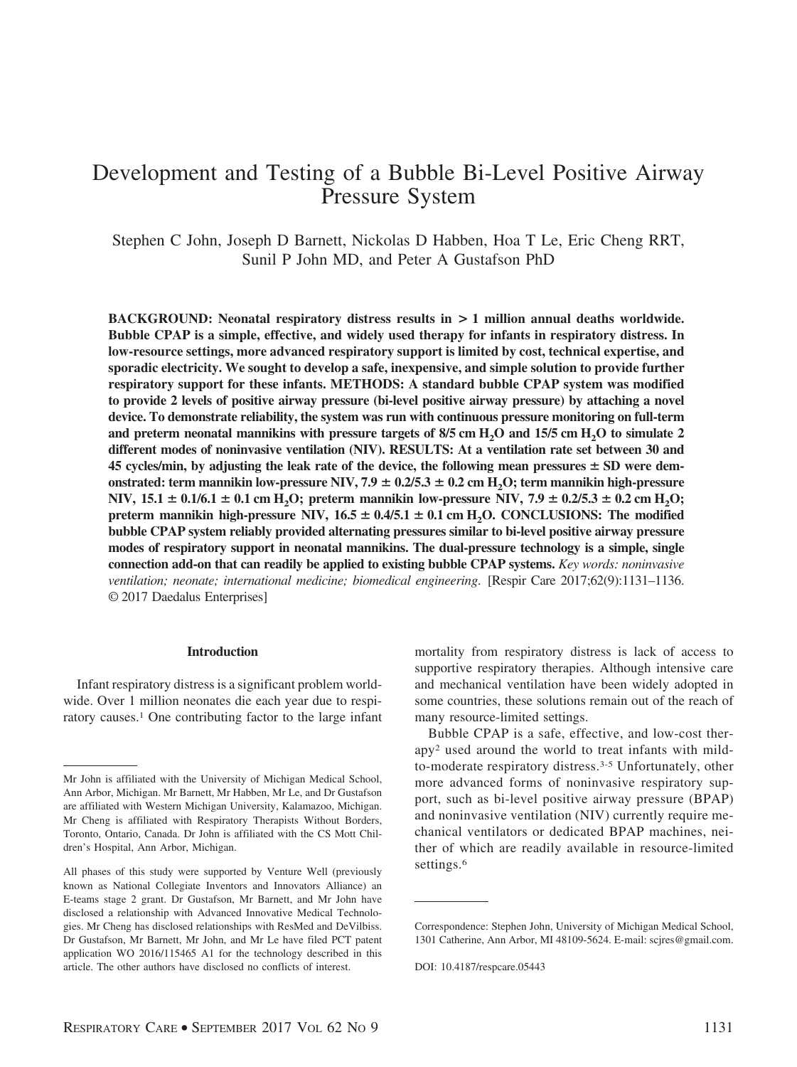# Development and Testing of a Bubble Bi-Level Positive Airway Pressure System

Stephen C John, Joseph D Barnett, Nickolas D Habben, Hoa T Le, Eric Cheng RRT, Sunil P John MD, and Peter A Gustafson PhD

**BACKGROUND: Neonatal respiratory distress results in > 1 million annual deaths worldwide. Bubble CPAP is a simple, effective, and widely used therapy for infants in respiratory distress. In low-resource settings, more advanced respiratory support is limited by cost, technical expertise, and sporadic electricity. We sought to develop a safe, inexpensive, and simple solution to provide further respiratory support for these infants. METHODS: A standard bubble CPAP system was modified to provide 2 levels of positive airway pressure (bi-level positive airway pressure) by attaching a novel device. To demonstrate reliability, the system was run with continuous pressure monitoring on full-term** and preterm neonatal mannikins with pressure targets of  $8/5$  cm  $H_2O$  and  $15/5$  cm  $H_2O$  to simulate 2 **different modes of noninvasive ventilation (NIV). RESULTS: At a ventilation rate set between 30 and 45 cycles/min, by adjusting the leak rate of the device, the following mean pressures** - **SD were dem**onstrated: term mannikin low-pressure NIV,  $7.9 \pm 0.2/5.3 \pm 0.2$  cm  $\text{H}_2\text{O}$ ; term mannikin high-pressure **NIV**,  $15.1 \pm 0.1/6.1 \pm 0.1$  cm  $H_2O$ ; preterm mannikin low-pressure NIV,  $7.9 \pm 0.2/5.3 \pm 0.2$  cm  $H_2O$ ; preterm mannikin high-pressure NIV,  $16.5 \pm 0.4/5.1 \pm 0.1$  cm  $H_2O$ . CONCLUSIONS: The modified **bubble CPAP system reliably provided alternating pressures similar to bi-level positive airway pressure modes of respiratory support in neonatal mannikins. The dual-pressure technology is a simple, single connection add-on that can readily be applied to existing bubble CPAP systems.** *Key words: noninvasive ventilation; neonate; international medicine; biomedical engineering*. [Respir Care 2017;62(9):1131–1136. © 2017 Daedalus Enterprises]

### **Introduction**

Infant respiratory distress is a significant problem worldwide. Over 1 million neonates die each year due to respiratory causes.<sup>1</sup> One contributing factor to the large infant mortality from respiratory distress is lack of access to supportive respiratory therapies. Although intensive care and mechanical ventilation have been widely adopted in some countries, these solutions remain out of the reach of many resource-limited settings.

Bubble CPAP is a safe, effective, and low-cost therapy2 used around the world to treat infants with mildto-moderate respiratory distress.3-5 Unfortunately, other more advanced forms of noninvasive respiratory support, such as bi-level positive airway pressure (BPAP) and noninvasive ventilation (NIV) currently require mechanical ventilators or dedicated BPAP machines, neither of which are readily available in resource-limited settings.<sup>6</sup>

Mr John is affiliated with the University of Michigan Medical School, Ann Arbor, Michigan. Mr Barnett, Mr Habben, Mr Le, and Dr Gustafson are affiliated with Western Michigan University, Kalamazoo, Michigan. Mr Cheng is affiliated with Respiratory Therapists Without Borders, Toronto, Ontario, Canada. Dr John is affiliated with the CS Mott Children's Hospital, Ann Arbor, Michigan.

All phases of this study were supported by Venture Well (previously known as National Collegiate Inventors and Innovators Alliance) an E-teams stage 2 grant. Dr Gustafson, Mr Barnett, and Mr John have disclosed a relationship with Advanced Innovative Medical Technologies. Mr Cheng has disclosed relationships with ResMed and DeVilbiss. Dr Gustafson, Mr Barnett, Mr John, and Mr Le have filed PCT patent application WO 2016/115465 A1 for the technology described in this article. The other authors have disclosed no conflicts of interest.

Correspondence: Stephen John, University of Michigan Medical School, 1301 Catherine, Ann Arbor, MI 48109-5624. E-mail: scjres@gmail.com.

DOI: 10.4187/respcare.05443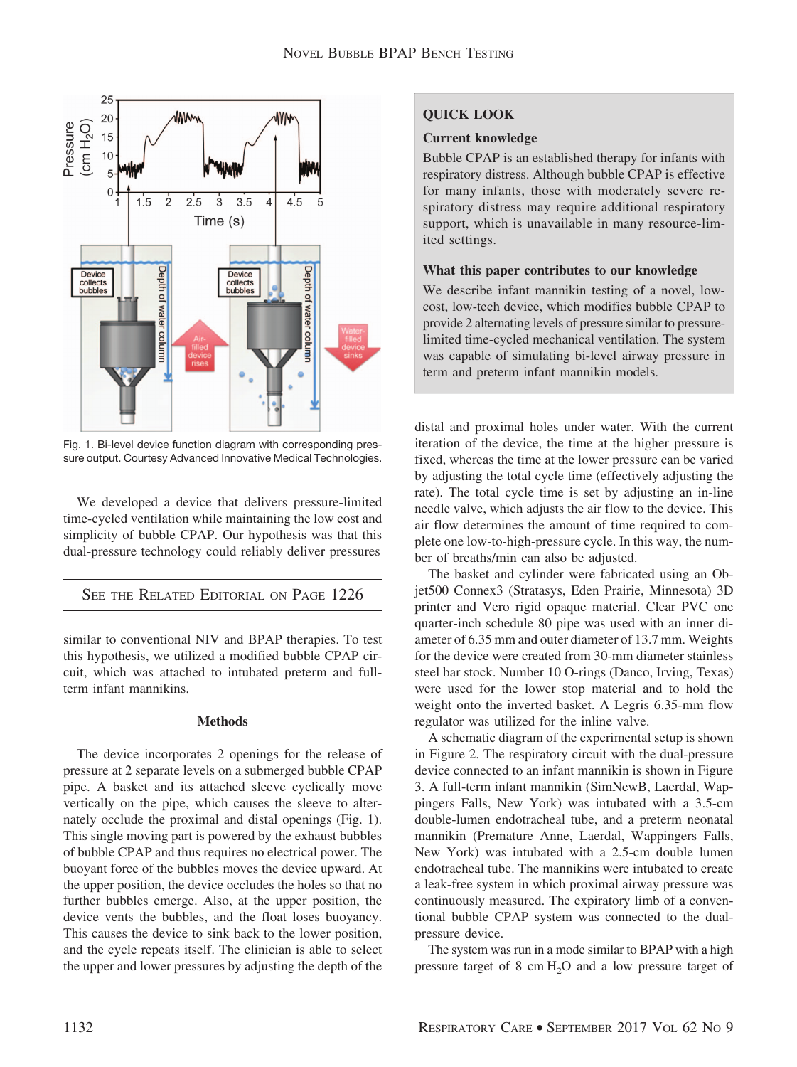

Fig. 1. Bi-level device function diagram with corresponding pressure output. Courtesy Advanced Innovative Medical Technologies.

We developed a device that delivers pressure-limited time-cycled ventilation while maintaining the low cost and simplicity of bubble CPAP. Our hypothesis was that this dual-pressure technology could reliably deliver pressures

# SEE THE RELATED EDITORIAL ON PAGE 1226

similar to conventional NIV and BPAP therapies. To test this hypothesis, we utilized a modified bubble CPAP circuit, which was attached to intubated preterm and fullterm infant mannikins.

### **Methods**

The device incorporates 2 openings for the release of pressure at 2 separate levels on a submerged bubble CPAP pipe. A basket and its attached sleeve cyclically move vertically on the pipe, which causes the sleeve to alternately occlude the proximal and distal openings (Fig. 1). This single moving part is powered by the exhaust bubbles of bubble CPAP and thus requires no electrical power. The buoyant force of the bubbles moves the device upward. At the upper position, the device occludes the holes so that no further bubbles emerge. Also, at the upper position, the device vents the bubbles, and the float loses buoyancy. This causes the device to sink back to the lower position, and the cycle repeats itself. The clinician is able to select the upper and lower pressures by adjusting the depth of the

# **QUICK LOOK**

### **Current knowledge**

Bubble CPAP is an established therapy for infants with respiratory distress. Although bubble CPAP is effective for many infants, those with moderately severe respiratory distress may require additional respiratory support, which is unavailable in many resource-limited settings.

# **What this paper contributes to our knowledge**

We describe infant mannikin testing of a novel, lowcost, low-tech device, which modifies bubble CPAP to provide 2 alternating levels of pressure similar to pressurelimited time-cycled mechanical ventilation. The system was capable of simulating bi-level airway pressure in term and preterm infant mannikin models.

distal and proximal holes under water. With the current iteration of the device, the time at the higher pressure is fixed, whereas the time at the lower pressure can be varied by adjusting the total cycle time (effectively adjusting the rate). The total cycle time is set by adjusting an in-line needle valve, which adjusts the air flow to the device. This air flow determines the amount of time required to complete one low-to-high-pressure cycle. In this way, the number of breaths/min can also be adjusted.

The basket and cylinder were fabricated using an Objet500 Connex3 (Stratasys, Eden Prairie, Minnesota) 3D printer and Vero rigid opaque material. Clear PVC one quarter-inch schedule 80 pipe was used with an inner diameter of 6.35 mm and outer diameter of 13.7 mm. Weights for the device were created from 30-mm diameter stainless steel bar stock. Number 10 O-rings (Danco, Irving, Texas) were used for the lower stop material and to hold the weight onto the inverted basket. A Legris 6.35-mm flow regulator was utilized for the inline valve.

A schematic diagram of the experimental setup is shown in Figure 2. The respiratory circuit with the dual-pressure device connected to an infant mannikin is shown in Figure 3. A full-term infant mannikin (SimNewB, Laerdal, Wappingers Falls, New York) was intubated with a 3.5-cm double-lumen endotracheal tube, and a preterm neonatal mannikin (Premature Anne, Laerdal, Wappingers Falls, New York) was intubated with a 2.5-cm double lumen endotracheal tube. The mannikins were intubated to create a leak-free system in which proximal airway pressure was continuously measured. The expiratory limb of a conventional bubble CPAP system was connected to the dualpressure device.

The system was run in a mode similar to BPAP with a high pressure target of  $8 \text{ cm H}_2\text{O}$  and a low pressure target of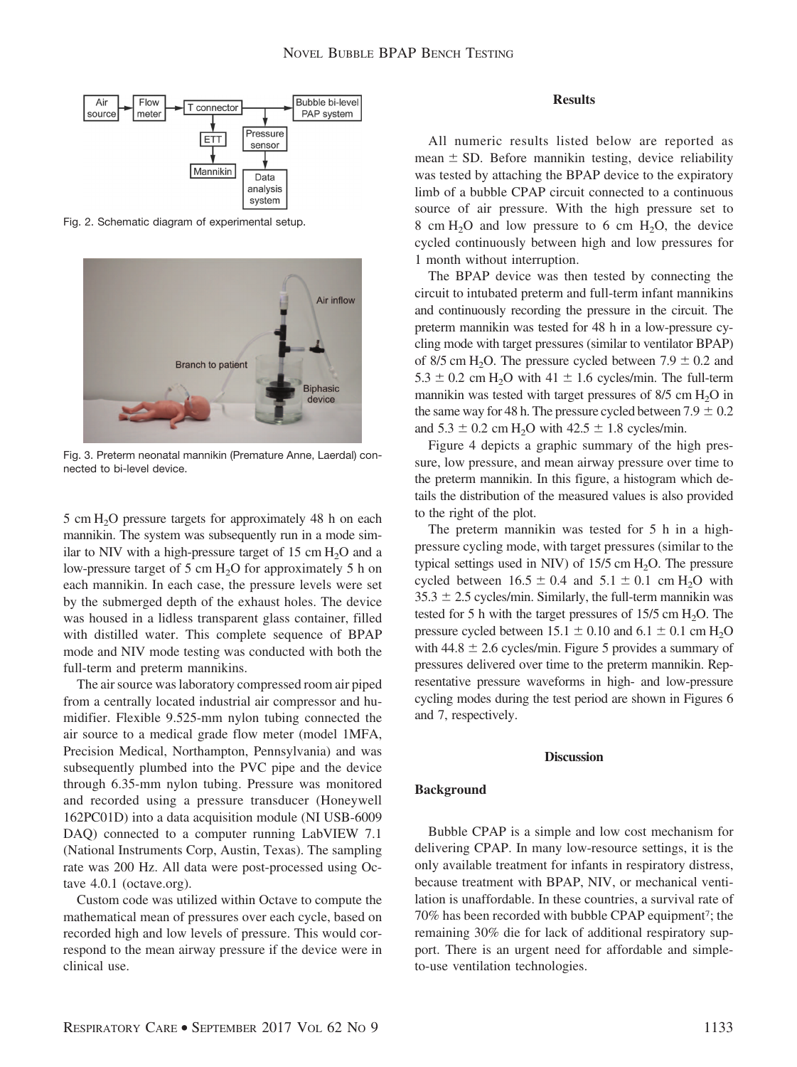

Fig. 2. Schematic diagram of experimental setup.



Fig. 3. Preterm neonatal mannikin (Premature Anne, Laerdal) connected to bi-level device.

 $5 \text{ cm H}_{2}$ O pressure targets for approximately 48 h on each mannikin. The system was subsequently run in a mode similar to NIV with a high-pressure target of  $15 \text{ cm H}_2\text{O}$  and a low-pressure target of 5 cm  $H_2O$  for approximately 5 h on each mannikin. In each case, the pressure levels were set by the submerged depth of the exhaust holes. The device was housed in a lidless transparent glass container, filled with distilled water. This complete sequence of BPAP mode and NIV mode testing was conducted with both the full-term and preterm mannikins.

The air source was laboratory compressed room air piped from a centrally located industrial air compressor and humidifier. Flexible 9.525-mm nylon tubing connected the air source to a medical grade flow meter (model 1MFA, Precision Medical, Northampton, Pennsylvania) and was subsequently plumbed into the PVC pipe and the device through 6.35-mm nylon tubing. Pressure was monitored and recorded using a pressure transducer (Honeywell 162PC01D) into a data acquisition module (NI USB-6009 DAQ) connected to a computer running LabVIEW 7.1 (National Instruments Corp, Austin, Texas). The sampling rate was 200 Hz. All data were post-processed using Octave 4.0.1 (octave.org).

Custom code was utilized within Octave to compute the mathematical mean of pressures over each cycle, based on recorded high and low levels of pressure. This would correspond to the mean airway pressure if the device were in clinical use.

#### **Results**

All numeric results listed below are reported as  $mean \pm SD$ . Before mannikin testing, device reliability was tested by attaching the BPAP device to the expiratory limb of a bubble CPAP circuit connected to a continuous source of air pressure. With the high pressure set to 8 cm  $H_2O$  and low pressure to 6 cm  $H_2O$ , the device cycled continuously between high and low pressures for 1 month without interruption.

The BPAP device was then tested by connecting the circuit to intubated preterm and full-term infant mannikins and continuously recording the pressure in the circuit. The preterm mannikin was tested for 48 h in a low-pressure cycling mode with target pressures (similar to ventilator BPAP) of 8/5 cm H<sub>2</sub>O. The pressure cycled between  $7.9 \pm 0.2$  and  $5.3 \pm 0.2$  cm H<sub>2</sub>O with  $41 \pm 1.6$  cycles/min. The full-term mannikin was tested with target pressures of  $8/5$  cm  $H<sub>2</sub>O$  in the same way for 48 h. The pressure cycled between  $7.9 \pm 0.2$ and  $5.3 \pm 0.2$  cm H<sub>2</sub>O with  $42.5 \pm 1.8$  cycles/min.

Figure 4 depicts a graphic summary of the high pressure, low pressure, and mean airway pressure over time to the preterm mannikin. In this figure, a histogram which details the distribution of the measured values is also provided to the right of the plot.

The preterm mannikin was tested for 5 h in a highpressure cycling mode, with target pressures (similar to the typical settings used in NIV) of  $15/5$  cm  $H_2O$ . The pressure cycled between  $16.5 \pm 0.4$  and  $5.1 \pm 0.1$  cm H<sub>2</sub>O with  $35.3 \pm 2.5$  cycles/min. Similarly, the full-term mannikin was tested for 5 h with the target pressures of  $15/5$  cm  $H_2O$ . The pressure cycled between  $15.1 \pm 0.10$  and  $6.1 \pm 0.1$  cm  $H_2O$ with  $44.8 \pm 2.6$  cycles/min. Figure 5 provides a summary of pressures delivered over time to the preterm mannikin. Representative pressure waveforms in high- and low-pressure cycling modes during the test period are shown in Figures 6 and 7, respectively.

#### **Discussion**

### **Background**

Bubble CPAP is a simple and low cost mechanism for delivering CPAP. In many low-resource settings, it is the only available treatment for infants in respiratory distress, because treatment with BPAP, NIV, or mechanical ventilation is unaffordable. In these countries, a survival rate of 70% has been recorded with bubble CPAP equipment<sup>7</sup>; the remaining 30% die for lack of additional respiratory support. There is an urgent need for affordable and simpleto-use ventilation technologies.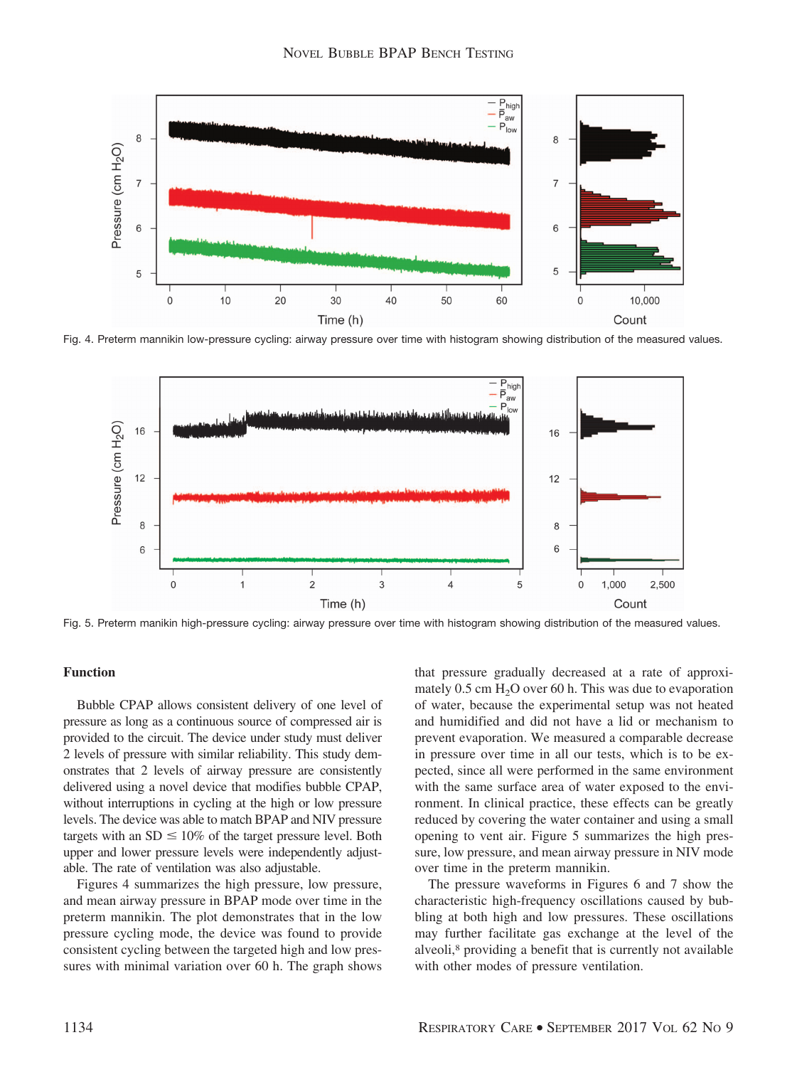

Fig. 4. Preterm mannikin low-pressure cycling: airway pressure over time with histogram showing distribution of the measured values.



Fig. 5. Preterm manikin high-pressure cycling: airway pressure over time with histogram showing distribution of the measured values.

## **Function**

Bubble CPAP allows consistent delivery of one level of pressure as long as a continuous source of compressed air is provided to the circuit. The device under study must deliver 2 levels of pressure with similar reliability. This study demonstrates that 2 levels of airway pressure are consistently delivered using a novel device that modifies bubble CPAP, without interruptions in cycling at the high or low pressure levels. The device was able to match BPAP and NIV pressure targets with an  $SD \leq 10\%$  of the target pressure level. Both upper and lower pressure levels were independently adjustable. The rate of ventilation was also adjustable.

Figures 4 summarizes the high pressure, low pressure, and mean airway pressure in BPAP mode over time in the preterm mannikin. The plot demonstrates that in the low pressure cycling mode, the device was found to provide consistent cycling between the targeted high and low pressures with minimal variation over 60 h. The graph shows that pressure gradually decreased at a rate of approximately  $0.5$  cm  $H<sub>2</sub>O$  over 60 h. This was due to evaporation of water, because the experimental setup was not heated and humidified and did not have a lid or mechanism to prevent evaporation. We measured a comparable decrease in pressure over time in all our tests, which is to be expected, since all were performed in the same environment with the same surface area of water exposed to the environment. In clinical practice, these effects can be greatly reduced by covering the water container and using a small opening to vent air. Figure 5 summarizes the high pressure, low pressure, and mean airway pressure in NIV mode over time in the preterm mannikin.

The pressure waveforms in Figures 6 and 7 show the characteristic high-frequency oscillations caused by bubbling at both high and low pressures. These oscillations may further facilitate gas exchange at the level of the alveoli,<sup>8</sup> providing a benefit that is currently not available with other modes of pressure ventilation.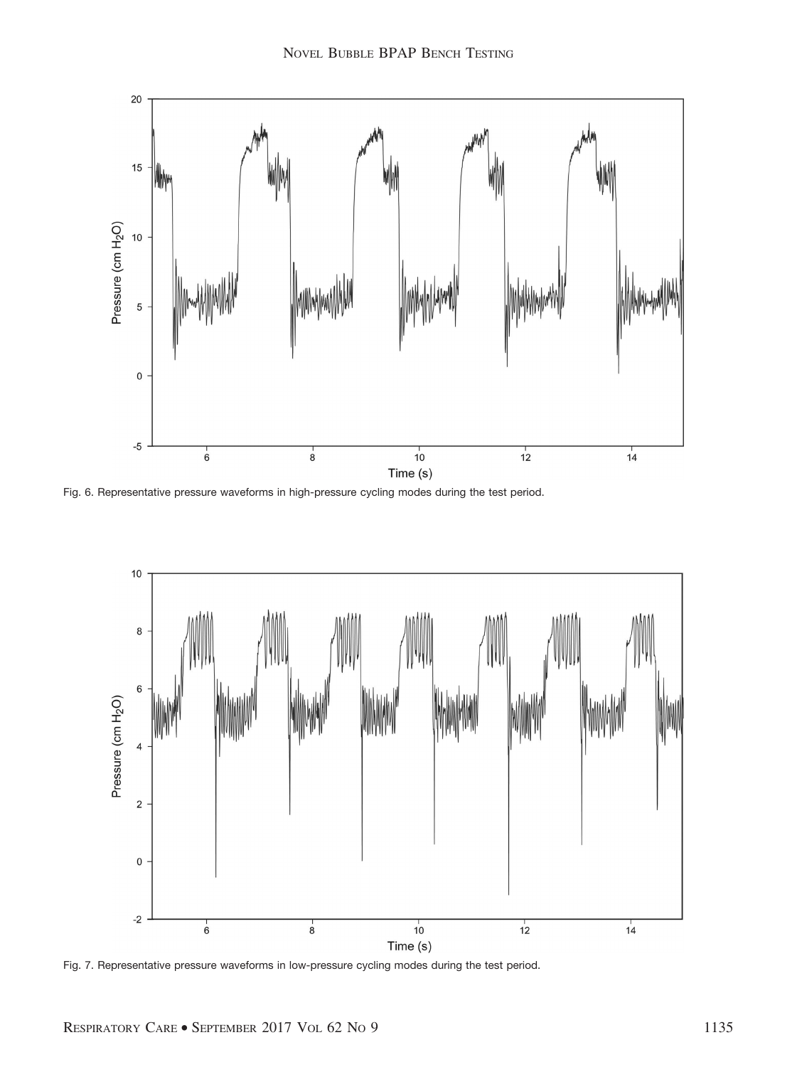

Fig. 6. Representative pressure waveforms in high-pressure cycling modes during the test period.



Fig. 7. Representative pressure waveforms in low-pressure cycling modes during the test period.